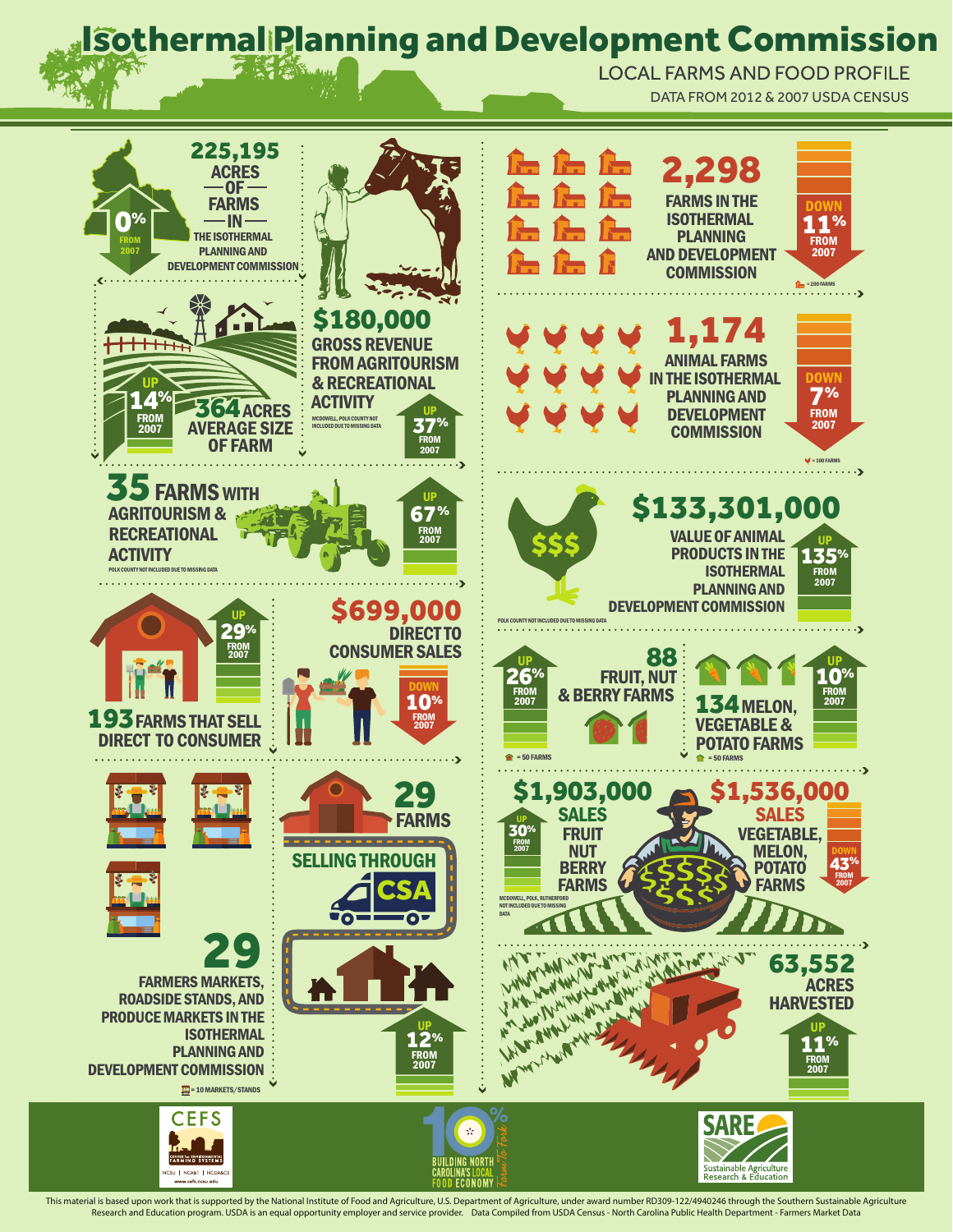## **Isothermal Planning and Development Commission**

DATA FROM 2012 & 2007 USDA CENSUS DATA FROM 2012 & 2007 USDA CENSUS LOCAL FARMS AND FOOD PROFILE



This material is based upon work that is supported by the National Institute of Food and Agriculture, U.S. Department of Agriculture, ander award number RD309-122/4940246 through the Southern Sustainable Agriculture enford